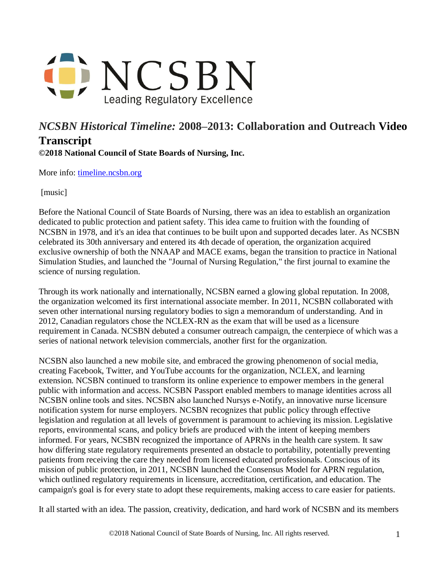

## *NCSBN Historical Timeline:* **2008–2013: Collaboration and Outreach Video Transcript ©2018 National Council of State Boards of Nursing, Inc.**

More info: [timeline.ncsbn.org](https://timeline.ncsbn.org/)

[music]

Before the National Council of State Boards of Nursing, there was an idea to establish an organization dedicated to public protection and patient safety. This idea came to fruition with the founding of NCSBN in 1978, and it's an idea that continues to be built upon and supported decades later. As NCSBN celebrated its 30th anniversary and entered its 4th decade of operation, the organization acquired exclusive ownership of both the NNAAP and MACE exams, began the transition to practice in National Simulation Studies, and launched the "Journal of Nursing Regulation," the first journal to examine the science of nursing regulation.

Through its work nationally and internationally, NCSBN earned a glowing global reputation. In 2008, the organization welcomed its first international associate member. In 2011, NCSBN collaborated with seven other international nursing regulatory bodies to sign a memorandum of understanding. And in 2012, Canadian regulators chose the NCLEX-RN as the exam that will be used as a licensure requirement in Canada. NCSBN debuted a consumer outreach campaign, the centerpiece of which was a series of national network television commercials, another first for the organization.

NCSBN also launched a new mobile site, and embraced the growing phenomenon of social media, creating Facebook, Twitter, and YouTube accounts for the organization, NCLEX, and learning extension. NCSBN continued to transform its online experience to empower members in the general public with information and access. NCSBN Passport enabled members to manage identities across all NCSBN online tools and sites. NCSBN also launched Nursys e-Notify, an innovative nurse licensure notification system for nurse employers. NCSBN recognizes that public policy through effective legislation and regulation at all levels of government is paramount to achieving its mission. Legislative reports, environmental scans, and policy briefs are produced with the intent of keeping members informed. For years, NCSBN recognized the importance of APRNs in the health care system. It saw how differing state regulatory requirements presented an obstacle to portability, potentially preventing patients from receiving the care they needed from licensed educated professionals. Conscious of its mission of public protection, in 2011, NCSBN launched the Consensus Model for APRN regulation, which outlined regulatory requirements in licensure, accreditation, certification, and education. The campaign's goal is for every state to adopt these requirements, making access to care easier for patients.

It all started with an idea. The passion, creativity, dedication, and hard work of NCSBN and its members